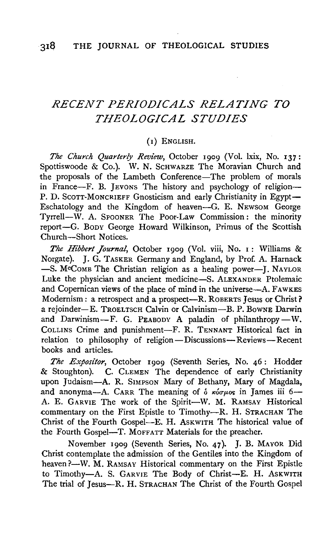# *RECENT PERIODICALS RELATING TO THEOLOGICAL STUDIES*

#### (I) ENGLISH.

*The Church Quarterly Review,* October 1909 (Vol. lxix, No. I37: Spottiswoode & Co.). W. N. SCHWARZE The Moravian Church and the proposals of the Lambeth Conference-The problem of morals in France-F. B. JEVONS The history and psychology of religion-P. D. SCOTT-MONCRIEFF Gnosticism and early Christianity in Egypt-Eschatology and the Kingdom of heaven-G. E. NEWSOM George Tyrrell-W. A. SPOONER The Poor-Law Commission: the minority report-G. BODY George Howard Wilkinson, Primus of the Scottish Church-Short Notices.

*The Hibbert Journal,* October I909 (Vol. viii, No. I: Williams & Norgate). J. G. TASKER Germany and England, by Prof. A. Harnack  $-$ S. M<sup>o</sup>COMB The Christian religion as a healing power--J. NAYLOR Luke the physician and ancient medicine-S. ALEXANDER Ptolemaic and Copernican views of the place of mind in the universe-A. FAWKES Modernism: a retrospect and a prospect--R. ROBERTS Jesus or Christ? a rejoinder-E. TROELTSCH Calvin or Calvinism-B. P. BowNE Darwin and Darwinism-F. G. PEABODY A paladin of philanthropy-W. CoLLINS Crime and punishment-F. R. TENNANT Historical fact in relation to philosophy of religion-Discussions-Reviews-Recent books and articles.

The Expositor, October 1909 (Seventh Series, No. 46: Hodder & Stoughton). C. CLEMEN The dependence of early Christianity upon Judaism-A. R. SIMPSON Mary of Bethany, Mary of Magdala, and anonyma-A. CARR The meaning of  $\delta$   $\kappa$ *i*o $\mu$ *os* in James iii 6--A. E. GARVIE The work of the Spirit-W. M. RAMSAY Historical commentary on the First Epistle to Timothy---R. H. STRACHAN The Christ of the Fourth Gospel-E. H. AsKWITH The historical value of the Fourth Gospel-T. MOFFATT Materials for the preacher.

November 1909 (Seventh Series, No. 47). J. B. MAYOR Did Christ contemplate the admission of the Gentiles into the Kingdom of heaven ?-W. M. RAMSAY Historical commentary on the First Epistle to Timothy-A. S. GARVIE The Body of Christ-E. H. AsKWITH The trial of Jesus-R. H. STRACHAN The Christ of the Fourth Gospel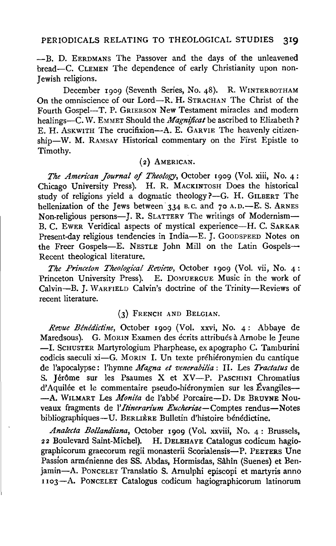-B. D. EERDMANS The Passover and the days of the unleavened bread-C. CLEMEN The dependence of early Christianity upon non-**Jewish religions.** 

December 1909 (Seventh Series, No. 48). R. WINTERBOTHAM On the omniscience of our Lord-R. H. STRACHAN The Christ of the Fourth Gospel-T. P. GRIERSON New Testament miracles and modern healings-C. W. EMMET Should the *Magnificat* be ascribed to Elizabeth? E. H. ASKWITH The crucifixion-A. E. GARVIE The heavenly citizenship-W. M. RAMSAY Historical commentary on the First Epistle to Timothy.

## ( 2) AMERICAN.

*The American Journal of Theology,* October **r** 909 (Vol. xiii, No. 4 : Chicago University Press). H. R. MACKINTOSH Does the historical study of religions yield a dogmatic theology  $? - G$ . H. GILBERT The hellenization of the Jews between 334 B.C. and 70 A.D.-E. S. ARNES Non-religious persons-J. R. SLATTERY The writings of Modernism-B. C. EWER Veridical aspects of mystical experience-H. C. SARKAR Present-day religious tendencies in India-E. J. GOODSPEED Notes on the Freer Gospels-E. NESTLE John Mill on the Latin Gospels-Recent theological literature.

*The Prince/on Theological Review,* October 1909 (Vol. vii, No. 4: Princeton University Press). E. DOMUERGUE Music in the work of Calvin-B. J. WARFIELD Calvin's doctrine of the Trinity-Reviews of recent literature.

### (3) FRENCH AND BELGIAN.

*Revue Benedictine,* October 1909 (Vol. xxvi, No. 4: Abbaye de Maredsous). G. MORIN Examen des écrits attribués à Arnobe le Jeune -I. ScHUSTER Martyrologium Pharphease, ex apographo C. Tamburini codicis saeculi xi-G. MORIN I. Un texte préhiéronymien du cantique de !'apocalypse: l'hymne *Magna et venerabilia* : 11. Les *Tractatus* de S. Jérôme sur les Psaumes X et XV-P. PASCHINI Chromatius d'Aquilée et le commentaire pseudo-hiéronymien sur les Évangiles--A. WILMART Les *Monita* de l'abbé Porcaire-D. DE BRUYNE Nouveaux fragments de *l'Itinerarium Eucheriae*-Comptes rendus-Notes bibliographiques-U. BERLIÈRE Bulletin d'histoire bénédictine.

*Analecta Bollandiana,* October 1909 (Vol. xxviii, No. 4: Brussels, 22 Boulevard Saint-Michel). H. DELEHAYE Catalogus codicum hagiographicorum graecorum regii monasterii Scorialensis-P. PEETERS Une Passion armenienne des SS. Abdas, Hormisdas, Sahin (Suenes) et Benjamin-A. PoNCELET Translatio S. Arnulphi episcopi et martyris anno I 103--A. PONCELET Catalogus codicum hagiographicorum latinorum